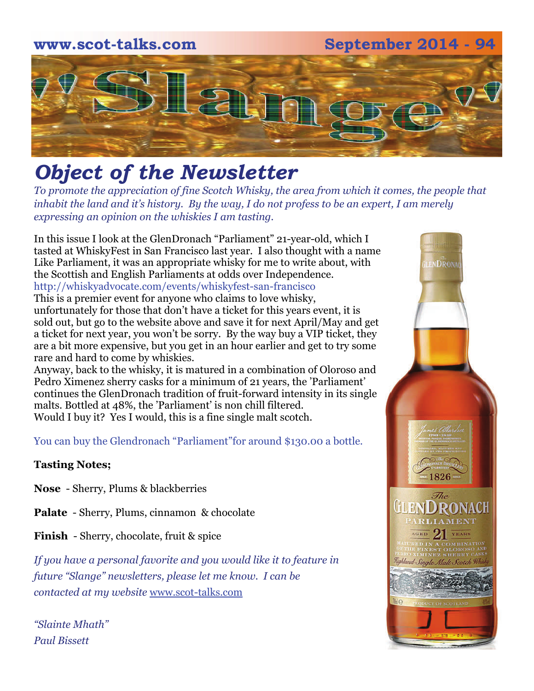

# *Object of the Newsletter*

*To promote the appreciation of fine Scotch Whisky, the area from which it comes, the people that inhabit the land and it's history. By the way, I do not profess to be an expert, I am merely expressing an opinion on the whiskies I am tasting.* 

In this issue I look at the GlenDronach "Parliament" 21-year-old, which I tasted at WhiskyFest in San Francisco last year. I also thought with a name Like Parliament, it was an appropriate whisky for me to write about, with the Scottish and English Parliaments at odds over Independence. http://whiskyadvocate.com/events/whiskyfest-san-francisco This is a premier event for anyone who claims to love whisky, unfortunately for those that don't have a ticket for this years event, it is sold out, but go to the website above and save it for next April/May and get a ticket for next year, you won't be sorry. By the way buy a VIP ticket, they are a bit more expensive, but you get in an hour earlier and get to try some rare and hard to come by whiskies.

Anyway, back to the whisky, it is matured in a combination of Oloroso and Pedro Ximenez sherry casks for a minimum of 21 years, the 'Parliament' continues the GlenDronach tradition of fruit-forward intensity in its single malts. Bottled at 48%, the 'Parliament' is non chill filtered. Would I buy it? Yes I would, this is a fine single malt scotch.

You can buy the Glendronach "Parliament"for around \$130.00 a bottle.

#### **Tasting Notes;**

**Nose** - Sherry, Plums & blackberries

**Palate** - Sherry, Plums, cinnamon & chocolate

**Finish** - Sherry, chocolate, fruit & spice

*If you have a personal favorite and you would like it to feature in future "Slange" newsletters, please let me know. I can be contacted at my website* [www.scot-talks.com](http://www.scot-talks.com/default.html)

*"Slainte Mhath" Paul Bissett*

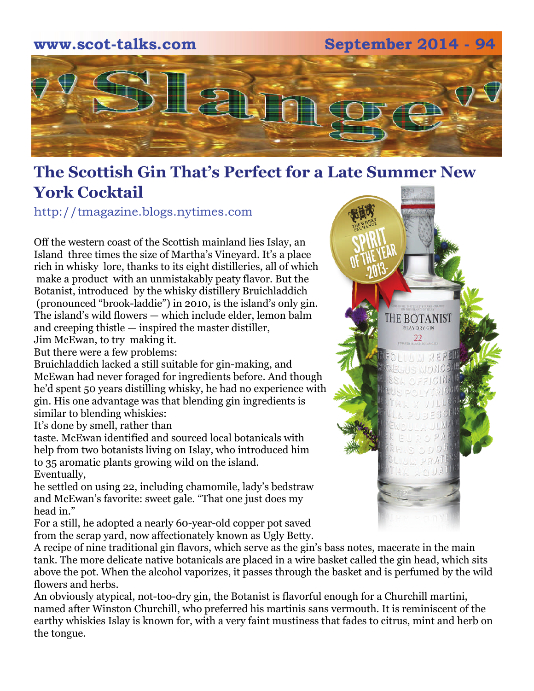

# **The Scottish Gin That's Perfect for a Late Summer New York Cocktail**

http://tmagazine.blogs.nytimes.com

Off the western coast of the Scottish mainland lies Islay, an Island three times the size of Martha's Vineyard. It's a place rich in whisky lore, thanks to its eight distilleries, all of which make a product with an unmistakably peaty flavor. But the [Botanist](http://www.bruichladdich.com/whisky-shop/gin/the-botanist-islay-dry-gin), introduced by the whisky distillery Bruichladdich (pronounced "brook-laddie") in 2010, is the island's only gin. The island's wild flowers — which include elder, lemon balm and creeping thistle — inspired the master distiller, Jim McEwan, to try making it.

But there were a few problems:

Bruichladdich lacked a still suitable for gin-making, and McEwan had never foraged for ingredients before. And though he'd spent 50 years distilling whisky, he had no experience with gin. His one advantage was that blending gin ingredients is similar to blending whiskies:

It's done by smell, rather than

taste. McEwan identified and sourced local botanicals with help from two botanists living on Islay, who introduced him to 35 aromatic plants growing wild on the island. Eventually,

he settled on using 22, including chamomile, lady's bedstraw and McEwan's favorite: sweet gale. "That one just does my head in."

For a still, he adopted a nearly 60-year-old copper pot saved from the scrap yard, now affectionately known as Ugly Betty.



A recipe of nine traditional gin flavors, which serve as the gin's bass notes, macerate in the main tank. The more delicate native botanicals are placed in a wire basket called the gin head, which sits above the pot. When the alcohol vaporizes, it passes through the basket and is perfumed by the wild flowers and herbs.

An obviously atypical, not-too-dry gin, the Botanist is flavorful enough for a Churchill martini, named after Winston Churchill, who preferred his martinis sans vermouth. It is reminiscent of the earthy whiskies Islay is known for, with a very faint mustiness that fades to citrus, mint and herb on the tongue.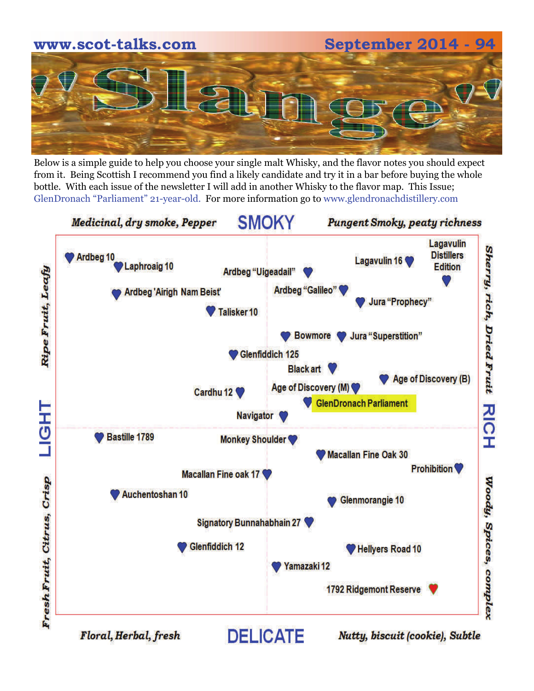

Below is a simple guide to help you choose your single malt Whisky, and the flavor notes you should expect from it. Being Scottish I recommend you find a likely candidate and try it in a bar before buying the whole bottle. With each issue of the newsletter I will add in another Whisky to the flavor map. This Issue; GlenDronach "Parliament" 21-year-old. For more information go to www.glendronachdistillery.com

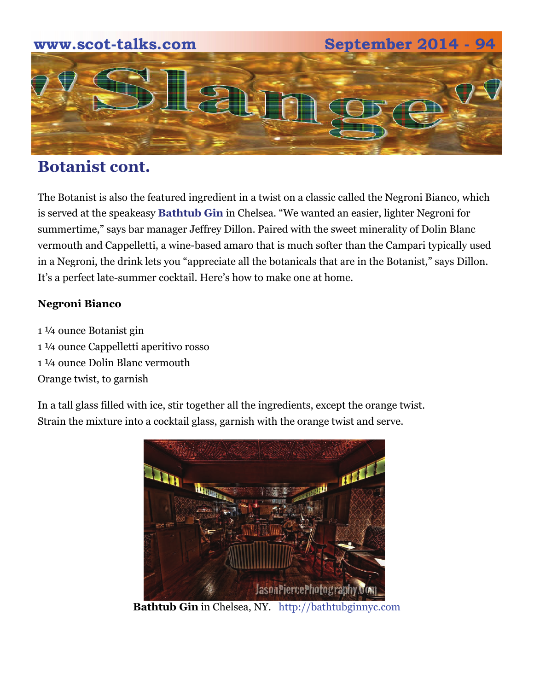

## **Botanist cont.**

The Botanist is also the featured ingredient in a twist on a classic called the Negroni Bianco, which is served at the speakeasy **[Bathtub Gin](http://bathtubginnyc.com/)** in Chelsea. "We wanted an easier, lighter Negroni for summertime," says bar manager Jeffrey Dillon. Paired with the sweet minerality of Dolin Blanc vermouth and Cappelletti, a wine-based amaro that is much softer than the Campari typically used in a Negroni, the drink lets you "appreciate all the botanicals that are in the Botanist," says Dillon. It's a perfect late-summer cocktail. Here's how to make one at home.

### **Negroni Bianco**

1 ¼ ounce Botanist gin 1 ¼ ounce Cappelletti aperitivo rosso 1 ¼ ounce Dolin Blanc vermouth Orange twist, to garnish

In a tall glass filled with ice, stir together all the ingredients, except the orange twist. Strain the mixture into a cocktail glass, garnish with the orange twist and serve.



[Bathtub Gin](http://bathtubginnyc.com/) in Chelsea, NY. http://bathtubginnyc.com